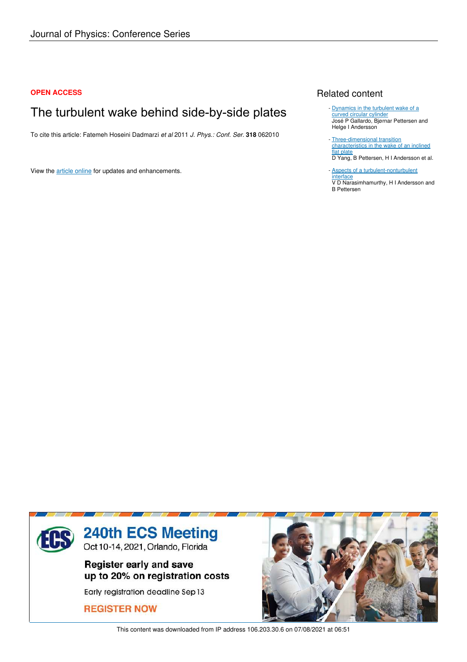### **OPEN ACCESS**

# The turbulent wake behind side-by-side plates

To cite this article: Fatemeh Hoseini Dadmarzi *et al* 2011 *J. Phys.: Conf. Ser.* **318** 062010

View the article online for updates and enhancements.

## Related content

- Dynamics in the turbulent wake of a curved circular cylinder José P Gallardo, Bjørnar Pettersen and Helge I Andersson
- Three-dimensional transition characteristics in the wake of an inclined flat plate D Yang, B Pettersen, H I Andersson et al. -
- **Aspects of a turbulent-nonturbulent** interface V D Narasimhamurthy, H I Andersson and B Pettersen



This content was downloaded from IP address 106.203.30.6 on 07/08/2021 at 06:51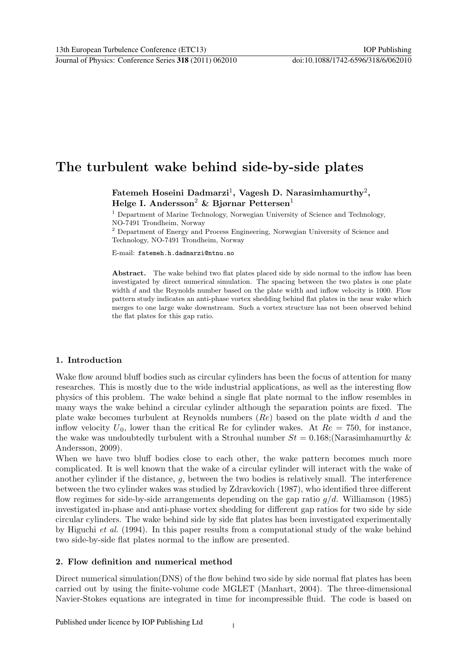## The turbulent wake behind side-by-side plates

Fatemeh Hoseini Dadmarzi $^1$ , Vagesh D. Narasimhamurthy $^2,$ Helge I. Andersson<sup>2</sup> & Bjørnar Pettersen<sup>1</sup>

<sup>1</sup> Department of Marine Technology, Norwegian University of Science and Technology, NO-7491 Trondheim, Norway

<sup>2</sup> Department of Energy and Process Engineering, Norwegian University of Science and Technology, NO-7491 Trondheim, Norway

E-mail: fatemeh.h.dadmarzi@ntnu.no

Abstract. The wake behind two flat plates placed side by side normal to the inflow has been investigated by direct numerical simulation. The spacing between the two plates is one plate width  $d$  and the Reynolds number based on the plate width and inflow velocity is 1000. Flow pattern study indicates an anti-phase vortex shedding behind flat plates in the near wake which merges to one large wake downstream. Such a vortex structure has not been observed behind the flat plates for this gap ratio.

## 1. Introduction

Wake flow around bluff bodies such as circular cylinders has been the focus of attention for many researches. This is mostly due to the wide industrial applications, as well as the interesting flow physics of this problem. The wake behind a single flat plate normal to the inflow resembles in many ways the wake behind a circular cylinder although the separation points are fixed. The plate wake becomes turbulent at Reynolds numbers  $(Re)$  based on the plate width d and the inflow velocity  $U_0$ , lower than the critical Re for cylinder wakes. At  $Re = 750$ , for instance, the wake was undoubtedly turbulent with a Strouhal number  $St = 0.168$ ; (Narasimhamurthy & Andersson, 2009).

When we have two bluff bodies close to each other, the wake pattern becomes much more complicated. It is well known that the wake of a circular cylinder will interact with the wake of another cylinder if the distance, g, between the two bodies is relatively small. The interference between the two cylinder wakes was studied by Zdravkovich (1987), who identified three different flow regimes for side-by-side arrangements depending on the gap ratio  $g/d$ . Williamson (1985) investigated in-phase and anti-phase vortex shedding for different gap ratios for two side by side circular cylinders. The wake behind side by side flat plates has been investigated experimentally by Higuchi et al. (1994). In this paper results from a computational study of the wake behind two side-by-side flat plates normal to the inflow are presented.

## 2. Flow definition and numerical method

Direct numerical simulation(DNS) of the flow behind two side by side normal flat plates has been carried out by using the finite-volume code MGLET (Manhart, 2004). The three-dimensional Navier-Stokes equations are integrated in time for incompressible fluid. The code is based on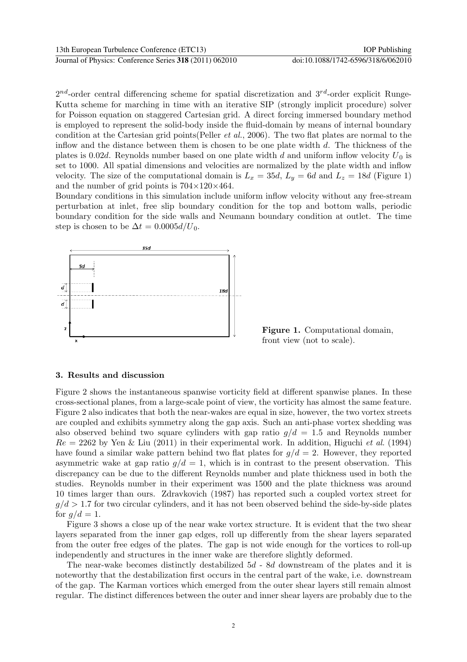$2^{nd}$ -order central differencing scheme for spatial discretization and  $3^{rd}$ -order explicit Runge-Kutta scheme for marching in time with an iterative SIP (strongly implicit procedure) solver for Poisson equation on staggered Cartesian grid. A direct forcing immersed boundary method is employed to represent the solid-body inside the fluid-domain by means of internal boundary condition at the Cartesian grid points(Peller et al., 2006). The two flat plates are normal to the inflow and the distance between them is chosen to be one plate width d. The thickness of the plates is 0.02d. Reynolds number based on one plate width d and uniform inflow velocity  $U_0$  is set to 1000. All spatial dimensions and velocities are normalized by the plate width and inflow velocity. The size of the computational domain is  $L_x = 35d$ ,  $L_y = 6d$  and  $L_z = 18d$  (Figure 1) and the number of grid points is  $704\times120\times464$ .

Boundary conditions in this simulation include uniform inflow velocity without any free-stream perturbation at inlet, free slip boundary condition for the top and bottom walls, periodic boundary condition for the side walls and Neumann boundary condition at outlet. The time step is chosen to be  $\Delta t = 0.0005 d/U_0$ .



Figure 1. Computational domain, front view (not to scale).

#### 3. Results and discussion

Figure 2 shows the instantaneous spanwise vorticity field at different spanwise planes. In these cross-sectional planes, from a large-scale point of view, the vorticity has almost the same feature. Figure 2 also indicates that both the near-wakes are equal in size, however, the two vortex streets are coupled and exhibits symmetry along the gap axis. Such an anti-phase vortex shedding was also observed behind two square cylinders with gap ratio  $g/d = 1.5$  and Reynolds number  $Re = 2262$  by Yen & Liu (2011) in their experimental work. In addition, Higuchi *et al.* (1994) have found a similar wake pattern behind two flat plates for  $q/d = 2$ . However, they reported asymmetric wake at gap ratio  $q/d = 1$ , which is in contrast to the present observation. This discrepancy can be due to the different Reynolds number and plate thickness used in both the studies. Reynolds number in their experiment was 1500 and the plate thickness was around 10 times larger than ours. Zdravkovich (1987) has reported such a coupled vortex street for  $g/d > 1.7$  for two circular cylinders, and it has not been observed behind the side-by-side plates for  $q/d = 1$ .

Figure 3 shows a close up of the near wake vortex structure. It is evident that the two shear layers separated from the inner gap edges, roll up differently from the shear layers separated from the outer free edges of the plates. The gap is not wide enough for the vortices to roll-up independently and structures in the inner wake are therefore slightly deformed.

The near-wake becomes distinctly destabilized 5d - 8d downstream of the plates and it is noteworthy that the destabilization first occurs in the central part of the wake, i.e. downstream of the gap. The Karman vortices which emerged from the outer shear layers still remain almost regular. The distinct differences between the outer and inner shear layers are probably due to the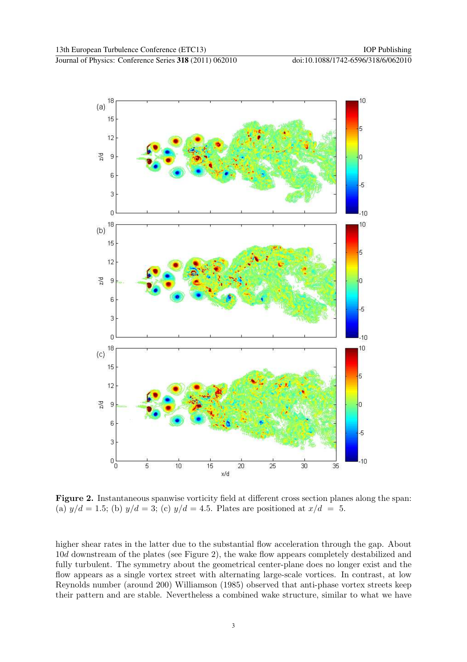



Figure 2. Instantaneous spanwise vorticity field at different cross section planes along the span: (a)  $y/d = 1.5$ ; (b)  $y/d = 3$ ; (c)  $y/d = 4.5$ . Plates are positioned at  $x/d = 5$ .

higher shear rates in the latter due to the substantial flow acceleration through the gap. About 10d downstream of the plates (see Figure 2), the wake flow appears completely destabilized and fully turbulent. The symmetry about the geometrical center-plane does no longer exist and the flow appears as a single vortex street with alternating large-scale vortices. In contrast, at low Reynolds number (around 200) Williamson (1985) observed that anti-phase vortex streets keep their pattern and are stable. Nevertheless a combined wake structure, similar to what we have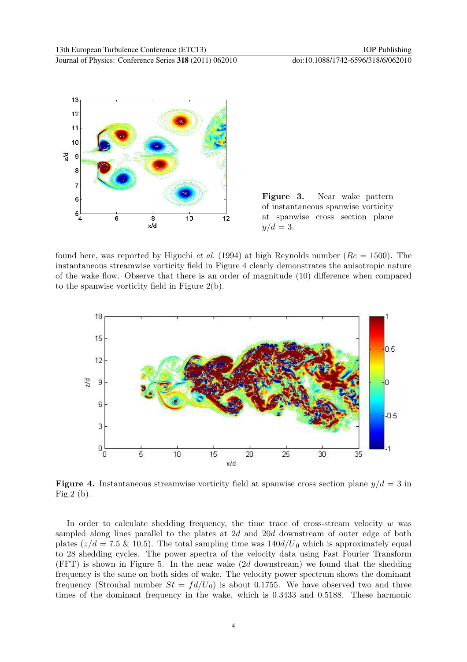



found here, was reported by Higuchi *et al.* (1994) at high Reynolds number ( $Re = 1500$ ). The instantaneous streamwise vorticity field in Figure 4 clearly demonstrates the anisotropic nature of the wake flow. Observe that there is an order of magnitude (10) difference when compared to the spanwise vorticity field in Figure 2(b).



**Figure 4.** Instantaneous streamwise vorticity field at spanwise cross section plane  $y/d = 3$  in Fig.2 (b).

In order to calculate shedding frequency, the time trace of cross-stream velocity  $w$  was sampled along lines parallel to the plates at 2d and 20d downstream of outer edge of both plates ( $z/d = 7.5 \& 10.5$ ). The total sampling time was  $140d/U_0$  which is approximately equal to 28 shedding cycles. The power spectra of the velocity data using Fast Fourier Transform (FFT) is shown in Figure 5. In the near wake (2d downstream) we found that the shedding frequency is the same on both sides of wake. The velocity power spectrum shows the dominant frequency (Strouhal number  $St = fd/U_0$ ) is about 0.1755. We have observed two and three times of the dominant frequency in the wake, which is 0.3433 and 0.5188. These harmonic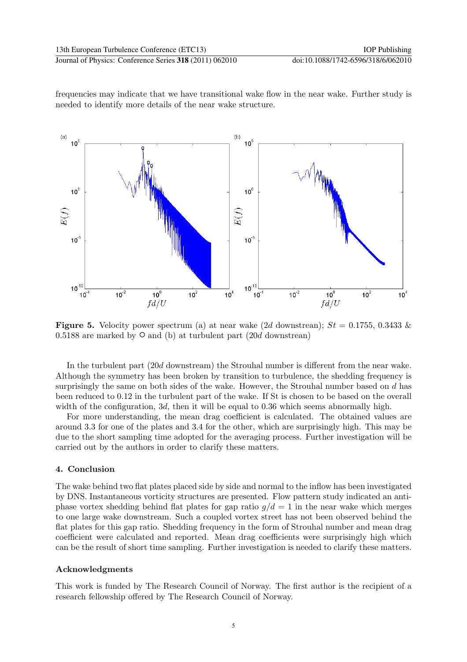frequencies may indicate that we have transitional wake flow in the near wake. Further study is needed to identify more details of the near wake structure.



**Figure 5.** Velocity power spectrum (a) at near wake (2d downstrean);  $St = 0.1755, 0.3433$  & 0.5188 are marked by  $\circ$  and (b) at turbulent part (20d downstrean)

In the turbulent part (20d downstream) the Strouhal number is different from the near wake. Although the symmetry has been broken by transition to turbulence, the shedding frequency is surprisingly the same on both sides of the wake. However, the Strouhal number based on d has been reduced to 0.12 in the turbulent part of the wake. If St is chosen to be based on the overall width of the configuration, 3d, then it will be equal to 0.36 which seems abnormally high.

For more understanding, the mean drag coefficient is calculated. The obtained values are around 3.3 for one of the plates and 3.4 for the other, which are surprisingly high. This may be due to the short sampling time adopted for the averaging process. Further investigation will be carried out by the authors in order to clarify these matters.

## 4. Conclusion

The wake behind two flat plates placed side by side and normal to the inflow has been investigated by DNS. Instantaneous vorticity structures are presented. Flow pattern study indicated an antiphase vortex shedding behind flat plates for gap ratio  $q/d = 1$  in the near wake which merges to one large wake downstream. Such a coupled vortex street has not been observed behind the flat plates for this gap ratio. Shedding frequency in the form of Strouhal number and mean drag coefficient were calculated and reported. Mean drag coefficients were surprisingly high which can be the result of short time sampling. Further investigation is needed to clarify these matters.

## Acknowledgments

This work is funded by The Research Council of Norway. The first author is the recipient of a research fellowship offered by The Research Council of Norway.